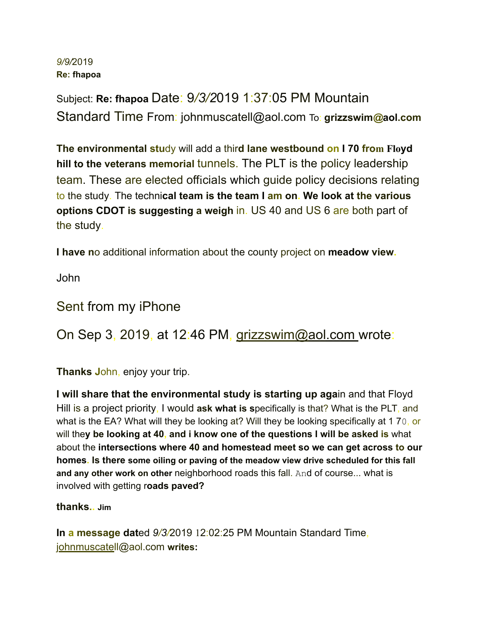## *9 / 9 /* 2019 **Re: fhapoa**

Subject: **Re: fhapoa** Date: 9*/3/2*019 1:37:05 PM Mountain Standard Time From : johnmuscatell *@* aol . com To : **grizzswim***@***aol.com**

**The environmental stu**dy will add a thir**d lane westbound on I 70 from Floyd hill to the veterans memorial** tunnels . The PLT is the policy leadership team. These are elected officials which guide policy decisions relating to the study. The techni**cal team is the team I am on. We look at the various options CDOT is suggesting a weigh** in. US 40 and US 6 are both part of the study.

**I have n**o additional information about the county project on **meadow view.**

John

## Sent from my iPhone

On Sep 3, 2019, at 12:46 PM, grizzswim@aol.com wrote:

**Thanks J**ohn, enjoy your trip.

**I will share that the environmental study is starting up aga**in and that Floyd Hill is a project priority, I would ask what is specifically is that? What is the PLT, and what is the EA? What will they be looking at? Will they be looking specifically at 1 70, or will they be looking at 40, and i know one of the questions I will be asked is what about the **intersections where 40 and homestead meet so we can get across to our homes . Is there some oiling or paving of the meadow view drive scheduled for this fall and any other work on other** neighborhood roads this fall. And of course... what is involved with getting roads paved?

**thanks.. Jim**

**In a message dat**ed *9/3/*2019 12:02:25 PM Mountain Standard Time, johnmuscatell@aol.com **writes :**